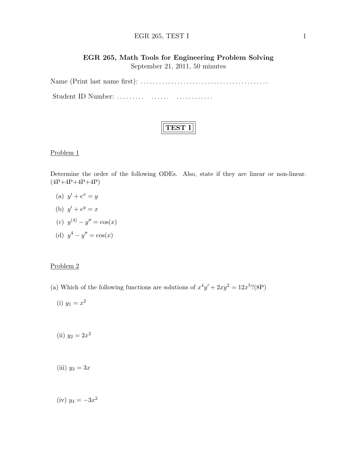#### EGR 265, TEST I  $1$

# EGR 265, Math Tools for Engineering Problem Solving September 21, 2011, 50 minutes

Name (Print last name first): . . . . . . . . . . . . . . . . . . . . . . . . . . . . . . . . . . . . . . . . . .

Student ID Number: . . . . . . . . . . . . . . . . . . . . . . . . . . .

### Problem 1

Determine the order of the following ODEs. Also, state if they are linear or non-linear.  $(4P+4P+4P+4P)$ 

- (a)  $y' + e^x = y$
- (b)  $y' + e^y = x$
- (c)  $y^{(4)} y'' = \cos(x)$
- (d)  $y^4 y'' = \cos(x)$

## Problem 2

- (a) Which of the following functions are solutions of  $x^4y' + 2xy^2 = 12x^5$ ?(8P)
	- (i)  $y_1 = x^2$
	- (ii)  $y_2 = 2x^2$
	- (iii)  $y_3 = 3x$

(iv) 
$$
y_4 = -3x^2
$$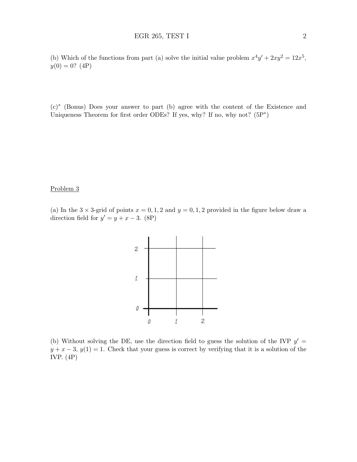(b) Which of the functions from part (a) solve the initial value problem  $x^4y' + 2xy^2 = 12x^5$ ,  $y(0) = 0$ ? (4P)

(c)<sup>∗</sup> (Bonus) Does your answer to part (b) agree with the content of the Existence and Uniqueness Theorem for first order ODEs? If yes, why? If no, why not?  $(5P^*)$ 

#### Problem 3

(a) In the  $3 \times 3$ -grid of points  $x = 0, 1, 2$  and  $y = 0, 1, 2$  provided in the figure below draw a direction field for  $y' = y + x - 3$ . (8P)



(b) Without solving the DE, use the direction field to guess the solution of the IVP  $y' =$  $y + x - 3$ ,  $y(1) = 1$ . Check that your guess is correct by verifying that it is a solution of the IVP. (4P)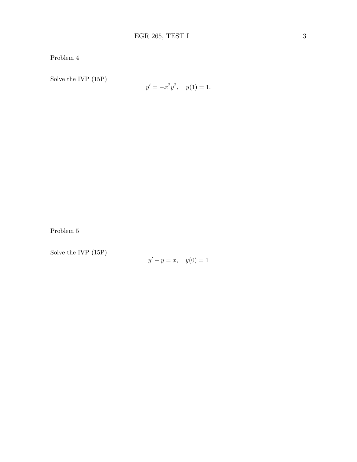Problem 4

Solve the IVP (15P)

$$
y' = -x^2y^2, \quad y(1) = 1.
$$

Problem 5

Solve the IVP (15P)

$$
y' - y = x, \quad y(0) = 1
$$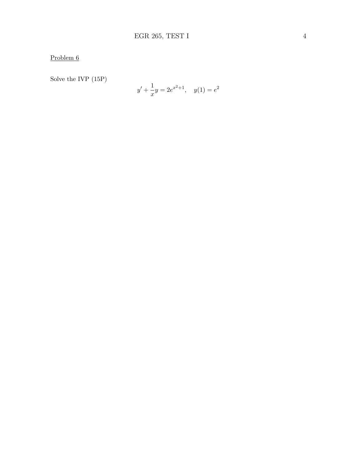Problem 6

Solve the IVP (15P)

$$
y' + \frac{1}{x}y = 2e^{x^2+1}, \quad y(1) = e^2
$$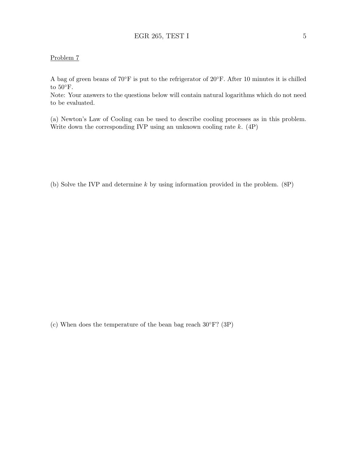### Problem 7

A bag of green beans of 70◦F is put to the refrigerator of 20◦F. After 10 minutes it is chilled to  $50^{\circ}$ F.

Note: Your answers to the questions below will contain natural logarithms which do not need to be evaluated.

(a) Newton's Law of Cooling can be used to describe cooling processes as in this problem. Write down the corresponding IVP using an unknown cooling rate  $k.$  (4P)

(b) Solve the IVP and determine k by using information provided in the problem. (8P)

(c) When does the temperature of the bean bag reach  $30^{\circ}$ F? (3P)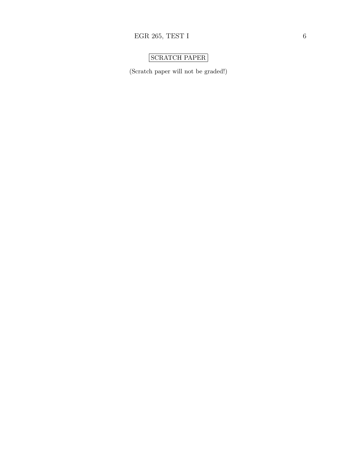# SCRATCH PAPER

(Scratch paper will not be graded!)